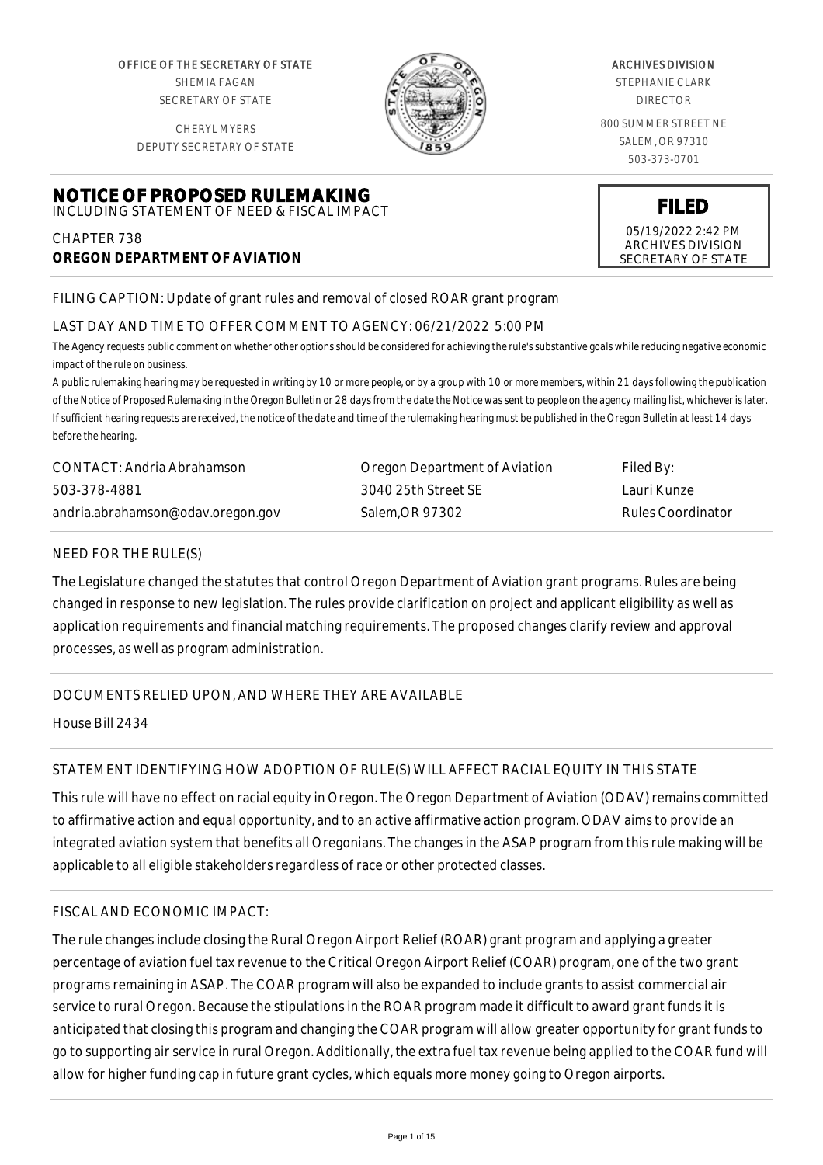OFFICE OF THE SECRETARY OF STATE SHEMIA FAGAN SECRETARY OF STATE

CHERYL MYERS DEPUTY SECRETARY OF STATE

**NOTICE OF PROPOSED RULEMAKING**



#### ARCHIVES DIVISION

STEPHANIE CLARK DIRECTOR

800 SUMMER STREET NE SALEM, OR 97310 503-373-0701

> **FILED** 05/19/2022 2:42 PM ARCHIVES DIVISION SECRETARY OF STATE

# INCLUDING STATEMENT OF NEED & FISCAL IMPACT CHAPTER 738

# **OREGON DEPARTMENT OF AVIATION**

# FILING CAPTION: Update of grant rules and removal of closed ROAR grant program

# LAST DAY AND TIME TO OFFER COMMENT TO AGENCY: 06/21/2022 5:00 PM

*The Agency requests public comment on whether other options should be considered for achieving the rule's substantive goals while reducing negative economic impact of the rule on business.*

*A public rulemaking hearing may be requested in writing by 10 or more people, or by a group with 10 or more members, within 21 days following the publication of the Notice of Proposed Rulemaking in the Oregon Bulletin or 28 days from the date the Notice was sent to people on the agency mailing list, whichever is later. If sufficient hearing requests are received, the notice of the date and time of the rulemaking hearing must be published in the Oregon Bulletin at least 14 days before the hearing.*

| CONTACT: Andria Abrahamson        | Oregon Department of Aviation | Filed By:         |
|-----------------------------------|-------------------------------|-------------------|
| 503-378-4881                      | 3040 25th Street SE           | Lauri Kunze       |
| andria.abrahamson@odav.oregon.gov | Salem.OR 97302                | Rules Coordinator |

# NEED FOR THE RULE(S)

The Legislature changed the statutes that control Oregon Department of Aviation grant programs. Rules are being changed in response to new legislation. The rules provide clarification on project and applicant eligibility as well as application requirements and financial matching requirements. The proposed changes clarify review and approval processes, as well as program administration.

# DOCUMENTS RELIED UPON, AND WHERE THEY ARE AVAILABLE

House Bill 2434

# STATEMENT IDENTIFYING HOW ADOPTION OF RULE(S) WILL AFFECT RACIAL EQUITY IN THIS STATE

This rule will have no effect on racial equity in Oregon. The Oregon Department of Aviation (ODAV) remains committed to affirmative action and equal opportunity, and to an active affirmative action program. ODAV aims to provide an integrated aviation system that benefits all Oregonians. The changes in the ASAP program from this rule making will be applicable to all eligible stakeholders regardless of race or other protected classes.

# FISCAL AND ECONOMIC IMPACT:

The rule changes include closing the Rural Oregon Airport Relief (ROAR) grant program and applying a greater percentage of aviation fuel tax revenue to the Critical Oregon Airport Relief (COAR) program, one of the two grant programs remaining in ASAP. The COAR program will also be expanded to include grants to assist commercial air service to rural Oregon. Because the stipulations in the ROAR program made it difficult to award grant funds it is anticipated that closing this program and changing the COAR program will allow greater opportunity for grant funds to go to supporting air service in rural Oregon. Additionally, the extra fuel tax revenue being applied to the COAR fund will allow for higher funding cap in future grant cycles, which equals more money going to Oregon airports.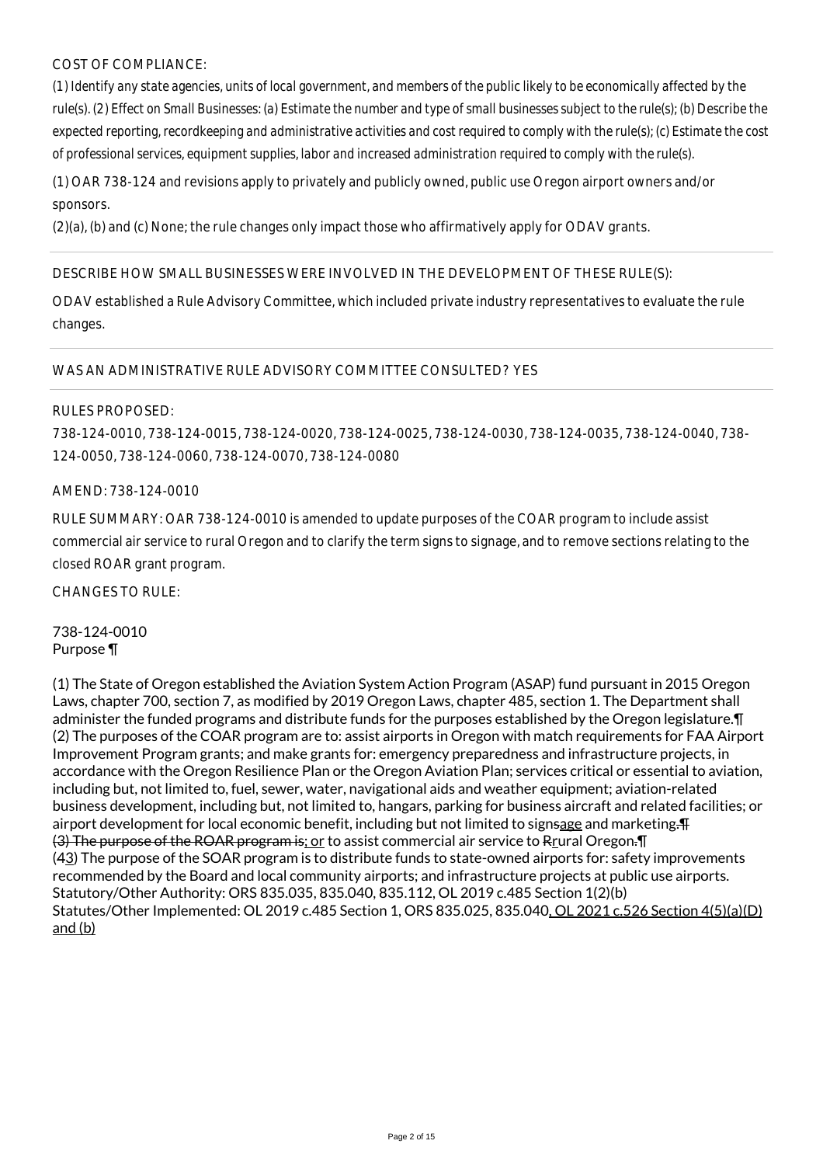# COST OF COMPLIANCE:

*(1) Identify any state agencies, units of local government, and members of the public likely to be economically affected by the rule(s). (2) Effect on Small Businesses: (a) Estimate the number and type of small businesses subject to the rule(s); (b) Describe the expected reporting, recordkeeping and administrative activities and cost required to comply with the rule(s); (c) Estimate the cost of professional services, equipment supplies, labor and increased administration required to comply with the rule(s).*

(1) OAR 738-124 and revisions apply to privately and publicly owned, public use Oregon airport owners and/or sponsors.

(2)(a), (b) and (c) None; the rule changes only impact those who affirmatively apply for ODAV grants.

#### DESCRIBE HOW SMALL BUSINESSES WERE INVOLVED IN THE DEVELOPMENT OF THESE RULE(S):

ODAV established a Rule Advisory Committee, which included private industry representatives to evaluate the rule changes.

#### WAS AN ADMINISTRATIVE RULE ADVISORY COMMITTEE CONSULTED? YES

#### RULES PROPOSED:

738-124-0010, 738-124-0015, 738-124-0020, 738-124-0025, 738-124-0030, 738-124-0035, 738-124-0040, 738- 124-0050, 738-124-0060, 738-124-0070, 738-124-0080

#### AMEND: 738-124-0010

RULE SUMMARY: OAR 738-124-0010 is amended to update purposes of the COAR program to include assist commercial air service to rural Oregon and to clarify the term signs to signage, and to remove sections relating to the closed ROAR grant program.

CHANGES TO RULE:

#### 738-124-0010 Purpose ¶

(1) The State of Oregon established the Aviation System Action Program (ASAP) fund pursuant in 2015 Oregon Laws, chapter 700, section 7, as modified by 2019 Oregon Laws, chapter 485, section 1. The Department shall administer the funded programs and distribute funds for the purposes established by the Oregon legislature.¶ (2) The purposes of the COAR program are to: assist airports in Oregon with match requirements for FAA Airport Improvement Program grants; and make grants for: emergency preparedness and infrastructure projects, in accordance with the Oregon Resilience Plan or the Oregon Aviation Plan; services critical or essential to aviation, including but, not limited to, fuel, sewer, water, navigational aids and weather equipment; aviation-related business development, including but, not limited to, hangars, parking for business aircraft and related facilities; or airport development for local economic benefit, including but not limited to signsage and marketing. (3) The purpose of the ROAR program is; or to assist commercial air service to Rrural Oregon.¶ (43) The purpose of the SOAR program is to distribute funds to state-owned airports for: safety improvements recommended by the Board and local community airports; and infrastructure projects at public use airports. Statutory/Other Authority: ORS 835.035, 835.040, 835.112, OL 2019 c.485 Section 1(2)(b) Statutes/Other Implemented: OL 2019 c.485 Section 1, ORS 835.025, 835.040, OL 2021 c.526 Section 4(5)(a)(D) and (b)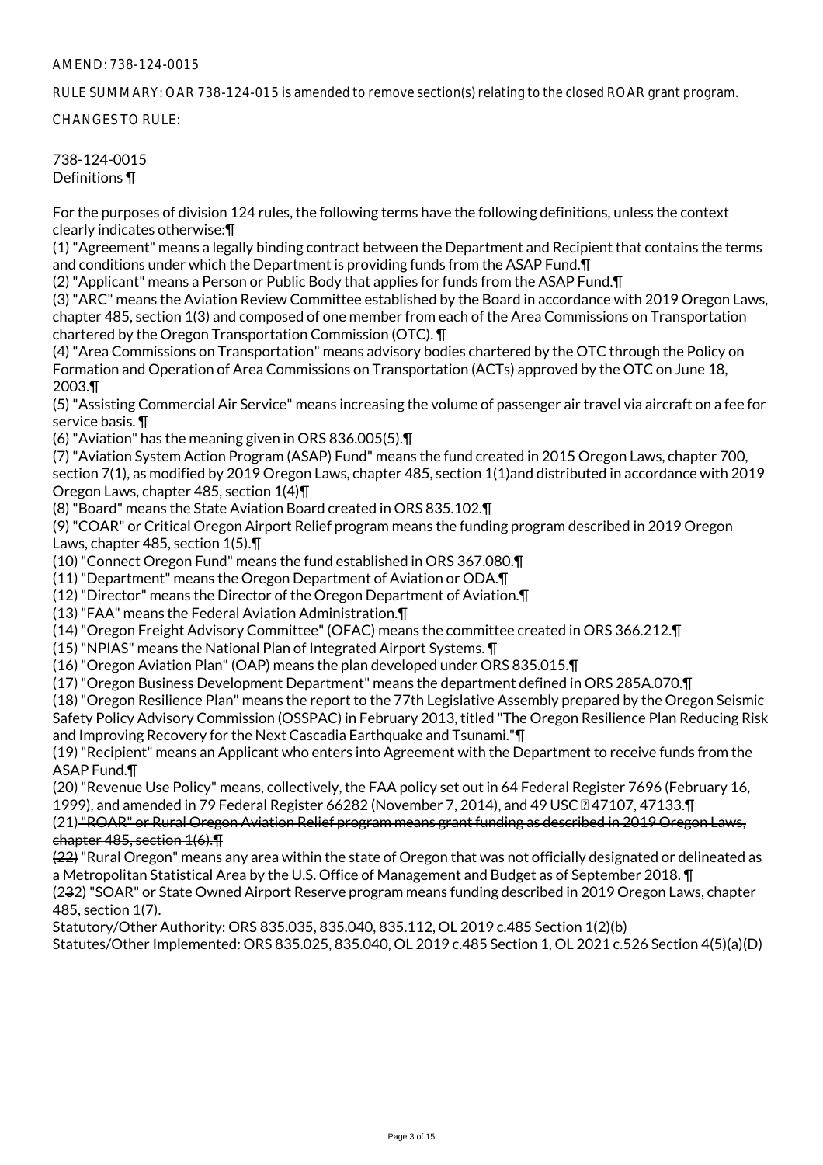RULE SUMMARY: OAR 738-124-015 is amended to remove section(s) relating to the closed ROAR grant program.

CHANGES TO RULE:

#### 738-124-0015 Definitions ¶

For the purposes of division 124 rules, the following terms have the following definitions, unless the context clearly indicates otherwise:¶

(1) "Agreement" means a legally binding contract between the Department and Recipient that contains the terms and conditions under which the Department is providing funds from the ASAP Fund. T

(2) "Applicant" means a Person or Public Body that applies for funds from the ASAP Fund.¶

(3) "ARC" means the Aviation Review Committee established by the Board in accordance with 2019 Oregon Laws, chapter 485, section 1(3) and composed of one member from each of the Area Commissions on Transportation chartered by the Oregon Transportation Commission (OTC). ¶

(4) "Area Commissions on Transportation" means advisory bodies chartered by the OTC through the Policy on Formation and Operation of Area Commissions on Transportation (ACTs) approved by the OTC on June 18, 2003.¶

(5) "Assisting Commercial Air Service" means increasing the volume of passenger air travel via aircraft on a fee for service basis. ¶

(6) "Aviation" has the meaning given in ORS 836.005(5).¶

(7) "Aviation System Action Program (ASAP) Fund" means the fund created in 2015 Oregon Laws, chapter 700, section 7(1), as modified by 2019 Oregon Laws, chapter 485, section 1(1)and distributed in accordance with 2019 Oregon Laws, chapter 485, section 1(4)¶

(8) "Board" means the State Aviation Board created in ORS 835.102.¶

(9) "COAR" or Critical Oregon Airport Relief program means the funding program described in 2019 Oregon Laws, chapter 485, section 1(5).¶

(10) "Connect Oregon Fund" means the fund established in ORS 367.080.¶

(11) "Department" means the Oregon Department of Aviation or ODA.¶

(12) "Director" means the Director of the Oregon Department of Aviation.¶

(13) "FAA" means the Federal Aviation Administration.¶

(14) "Oregon Freight Advisory Committee" (OFAC) means the committee created in ORS 366.212.¶

(15) "NPIAS" means the National Plan of Integrated Airport Systems. ¶

(16) "Oregon Aviation Plan" (OAP) means the plan developed under ORS 835.015.¶

(17) "Oregon Business Development Department" means the department defined in ORS 285A.070.¶

(18) "Oregon Resilience Plan" means the report to the 77th Legislative Assembly prepared by the Oregon Seismic Safety Policy Advisory Commission (OSSPAC) in February 2013, titled "The Oregon Resilience Plan Reducing Risk and Improving Recovery for the Next Cascadia Earthquake and Tsunami."¶

(19) "Recipient" means an Applicant who enters into Agreement with the Department to receive funds from the ASAP Fund.¶

(20) "Revenue Use Policy" means, collectively, the FAA policy set out in 64 Federal Register 7696 (February 16, 1999), and amended in 79 Federal Register 66282 (November 7, 2014), and 49 USC **247107**, 47133. T

(21) "ROAR" or Rural Oregon Aviation Relief program means grant funding as described in 2019 Oregon Laws, chapter 485, section 1(6).¶

(22) "Rural Oregon" means any area within the state of Oregon that was not officially designated or delineated as a Metropolitan Statistical Area by the U.S. Office of Management and Budget as of September 2018. ¶ (232) "SOAR" or State Owned Airport Reserve program means funding described in 2019 Oregon Laws, chapter

485, section 1(7).

Statutory/Other Authority: ORS 835.035, 835.040, 835.112, OL 2019 c.485 Section 1(2)(b)

Statutes/Other Implemented: ORS 835.025, 835.040, OL 2019 c.485 Section 1, OL 2021 c.526 Section 4(5)(a)(D)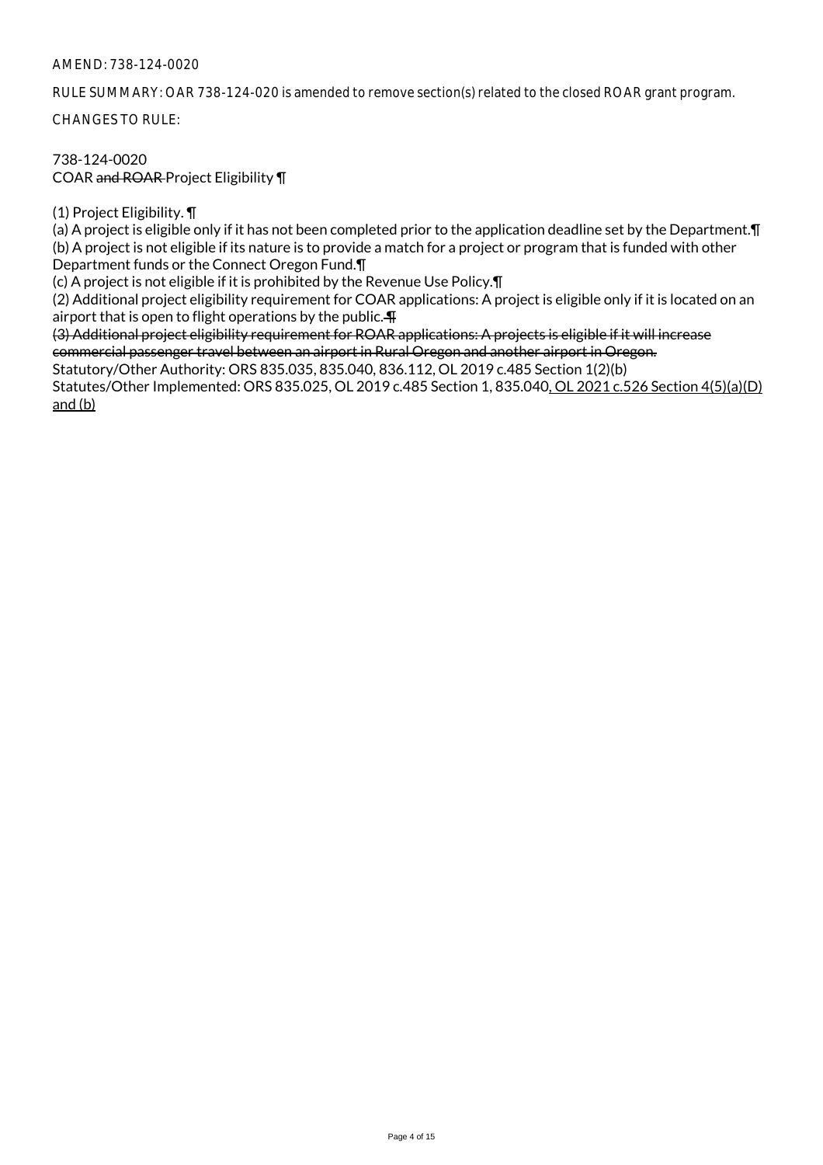RULE SUMMARY: OAR 738-124-020 is amended to remove section(s) related to the closed ROAR grant program.

CHANGES TO RULE:

# 738-124-0020 COAR and ROAR Project Eligibility ¶

(1) Project Eligibility. ¶

(a) A project is eligible only if it has not been completed prior to the application deadline set by the Department.¶ (b) A project is not eligible if its nature is to provide a match for a project or program that is funded with other Department funds or the Connect Oregon Fund.¶

(c) A project is not eligible if it is prohibited by the Revenue Use Policy.¶

(2) Additional project eligibility requirement for COAR applications: A project is eligible only if it is located on an airport that is open to flight operations by the public. $\P$ 

(3) Additional project eligibility requirement for ROAR applications: A projects is eligible if it will increase commercial passenger travel between an airport in Rural Oregon and another airport in Oregon.

Statutory/Other Authority: ORS 835.035, 835.040, 836.112, OL 2019 c.485 Section 1(2)(b) Statutes/Other Implemented: ORS 835.025, OL 2019 c.485 Section 1, 835.040, OL 2021 c.526 Section 4(5)(a)(D) and (b)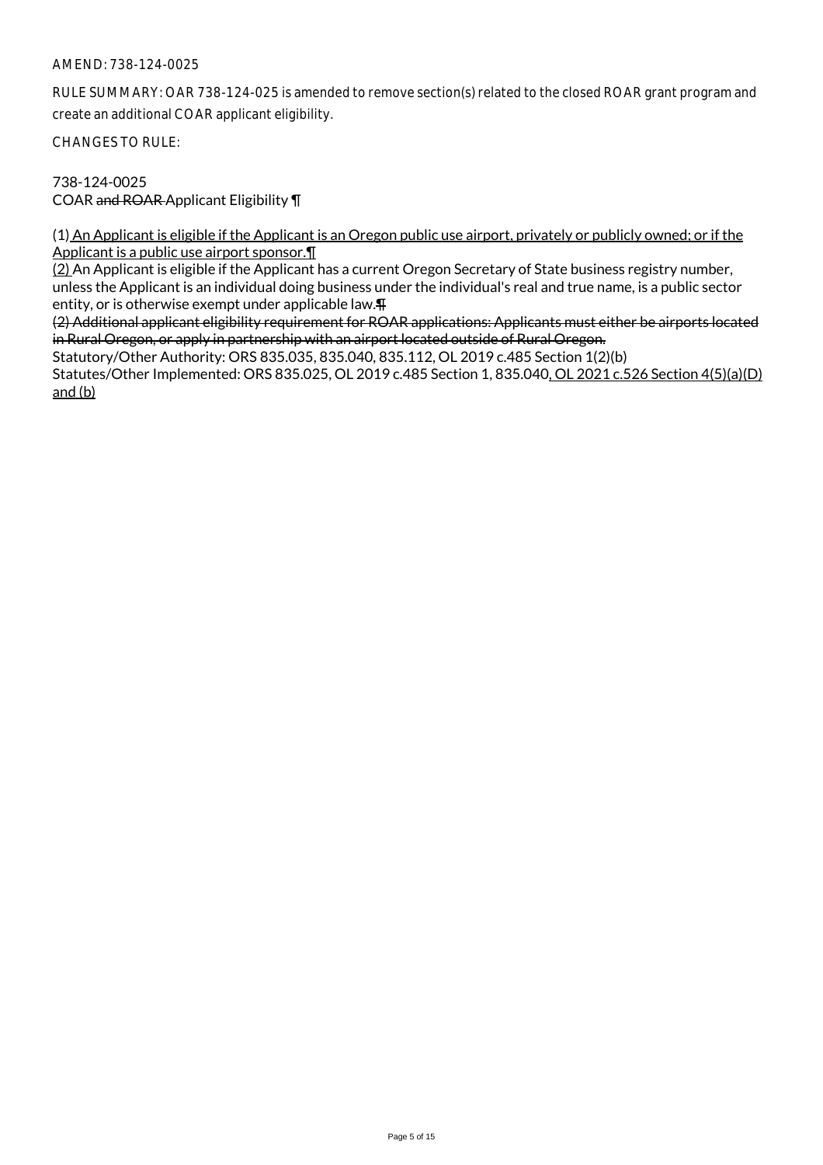RULE SUMMARY: OAR 738-124-025 is amended to remove section(s) related to the closed ROAR grant program and create an additional COAR applicant eligibility.

CHANGES TO RULE:

738-124-0025 COAR and ROAR Applicant Eligibility ¶

(1) An Applicant is eligible if the Applicant is an Oregon public use airport, privately or publicly owned; or if the Applicant is a public use airport sponsor.¶

(2) An Applicant is eligible if the Applicant has a current Oregon Secretary of State business registry number, unless the Applicant is an individual doing business under the individual's real and true name, is a public sector entity, or is otherwise exempt under applicable law.¶

(2) Additional applicant eligibility requirement for ROAR applications: Applicants must either be airports located in Rural Oregon, or apply in partnership with an airport located outside of Rural Oregon.

Statutory/Other Authority: ORS 835.035, 835.040, 835.112, OL 2019 c.485 Section 1(2)(b) Statutes/Other Implemented: ORS 835.025, OL 2019 c.485 Section 1, 835.040, OL 2021 c.526 Section 4(5)(a)(D) and (b)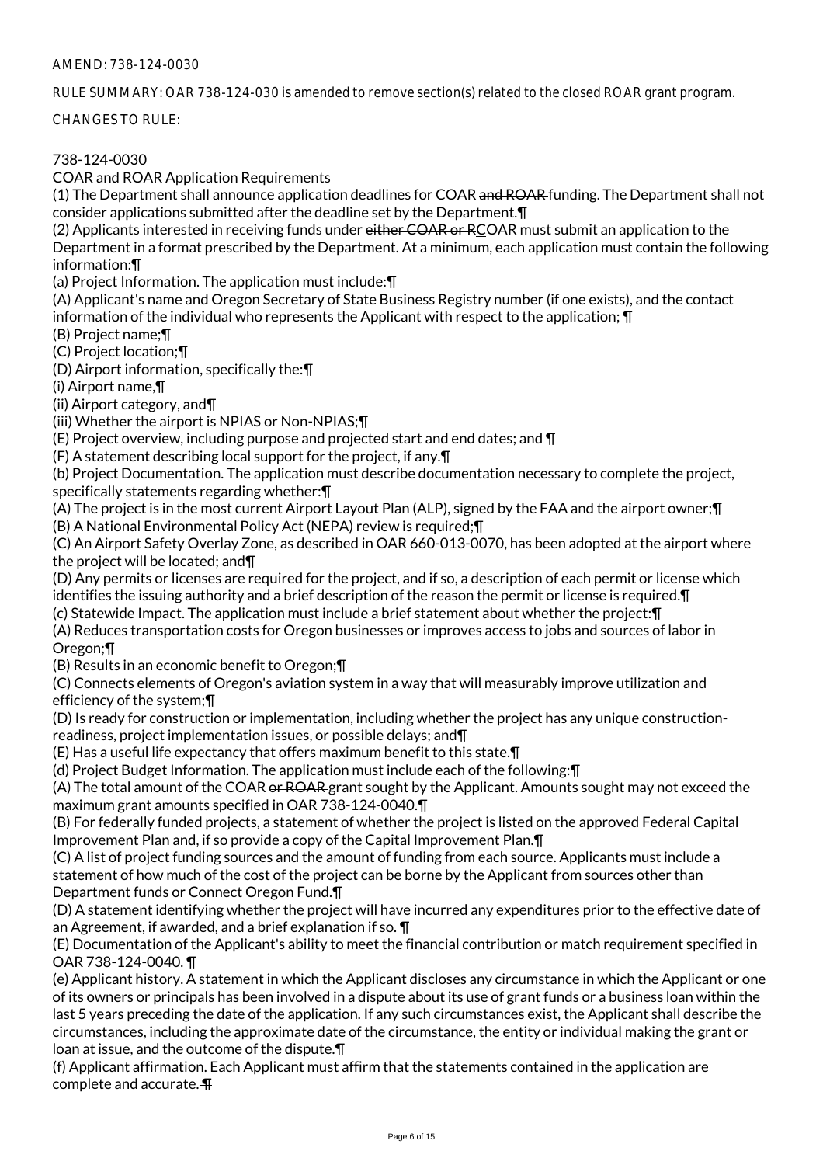RULE SUMMARY: OAR 738-124-030 is amended to remove section(s) related to the closed ROAR grant program.

CHANGES TO RULE:

# 738-124-0030

COAR and ROAR Application Requirements

(1) The Department shall announce application deadlines for COAR and ROAR funding. The Department shall not consider applications submitted after the deadline set by the Department.¶

(2) Applicants interested in receiving funds under either COAR or RCOAR must submit an application to the Department in a format prescribed by the Department. At a minimum, each application must contain the following information:¶

(a) Project Information. The application must include:¶

(A) Applicant's name and Oregon Secretary of State Business Registry number (if one exists), and the contact information of the individual who represents the Applicant with respect to the application; ¶

(B) Project name;¶

(C) Project location;¶

(D) Airport information, specifically the:¶

(i) Airport name,¶

(ii) Airport category, and¶

(iii) Whether the airport is NPIAS or Non-NPIAS;¶

(E) Project overview, including purpose and projected start and end dates; and ¶

(F) A statement describing local support for the project, if any.¶

(b) Project Documentation. The application must describe documentation necessary to complete the project, specifically statements regarding whether:¶

(A) The project is in the most current Airport Layout Plan (ALP), signed by the FAA and the airport owner;¶ (B) A National Environmental Policy Act (NEPA) review is required;¶

(C) An Airport Safety Overlay Zone, as described in OAR 660-013-0070, has been adopted at the airport where the project will be located; and¶

(D) Any permits or licenses are required for the project, and if so, a description of each permit or license which identifies the issuing authority and a brief description of the reason the permit or license is required.¶

(c) Statewide Impact. The application must include a brief statement about whether the project:¶

(A) Reduces transportation costs for Oregon businesses or improves access to jobs and sources of labor in Oregon;¶

(B) Results in an economic benefit to Oregon;¶

(C) Connects elements of Oregon's aviation system in a way that will measurably improve utilization and efficiency of the system;¶

(D) Is ready for construction or implementation, including whether the project has any unique constructionreadiness, project implementation issues, or possible delays; and¶

(E) Has a useful life expectancy that offers maximum benefit to this state.¶

(d) Project Budget Information. The application must include each of the following:¶

(A) The total amount of the COAR or ROAR grant sought by the Applicant. Amounts sought may not exceed the maximum grant amounts specified in OAR 738-124-0040.¶

(B) For federally funded projects, a statement of whether the project is listed on the approved Federal Capital Improvement Plan and, if so provide a copy of the Capital Improvement Plan.¶

(C) A list of project funding sources and the amount of funding from each source. Applicants must include a statement of how much of the cost of the project can be borne by the Applicant from sources other than Department funds or Connect Oregon Fund.¶

(D) A statement identifying whether the project will have incurred any expenditures prior to the effective date of an Agreement, if awarded, and a brief explanation if so. ¶

(E) Documentation of the Applicant's ability to meet the financial contribution or match requirement specified in OAR 738-124-0040. ¶

(e) Applicant history. A statement in which the Applicant discloses any circumstance in which the Applicant or one of its owners or principals has been involved in a dispute about its use of grant funds or a business loan within the last 5 years preceding the date of the application. If any such circumstances exist, the Applicant shall describe the circumstances, including the approximate date of the circumstance, the entity or individual making the grant or loan at issue, and the outcome of the dispute.¶

(f) Applicant affirmation. Each Applicant must affirm that the statements contained in the application are complete and accurate. ¶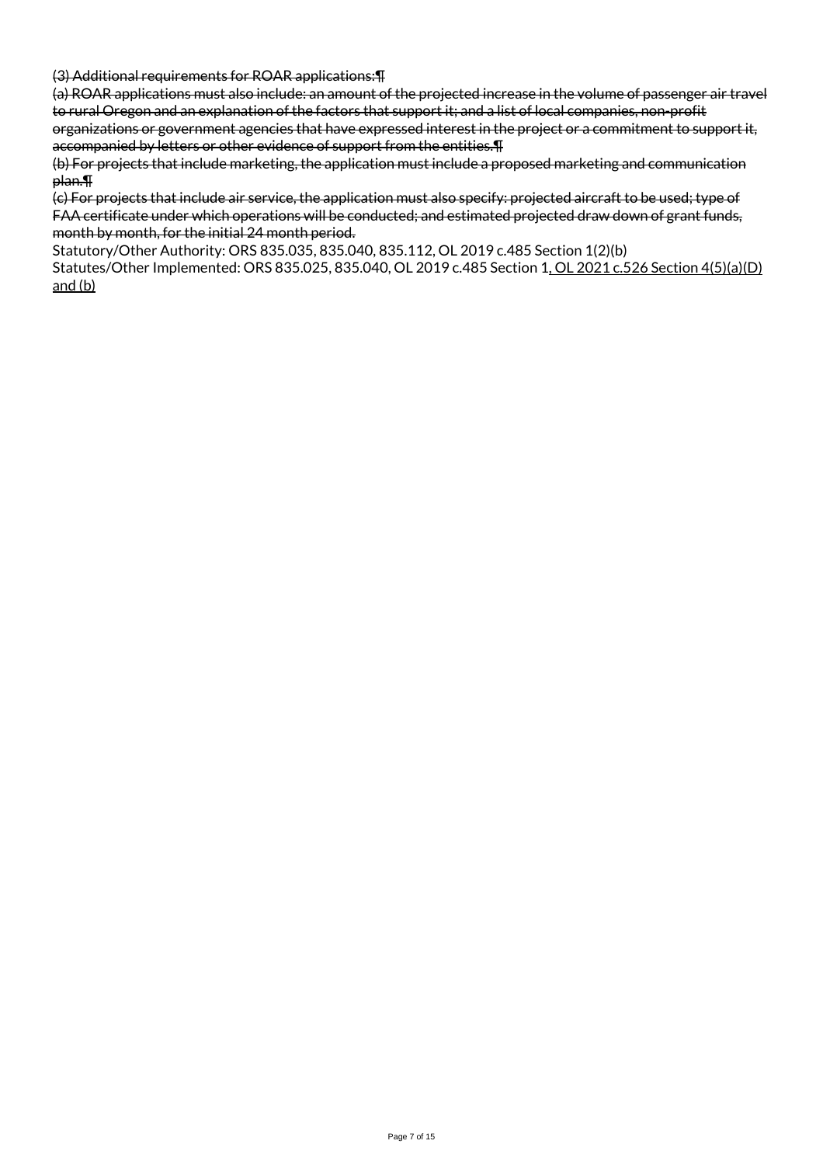(3) Additional requirements for ROAR applications:¶

(a) ROAR applications must also include: an amount of the projected increase in the volume of passenger air travel to rural Oregon and an explanation of the factors that support it; and a list of local companies, non-profit organizations or government agencies that have expressed interest in the project or a commitment to support it,

accompanied by letters or other evidence of support from the entities.¶

(b) For projects that include marketing, the application must include a proposed marketing and communication plan.¶

(c) For projects that include air service, the application must also specify: projected aircraft to be used; type of FAA certificate under which operations will be conducted; and estimated projected draw down of grant funds, month by month, for the initial 24 month period.

Statutory/Other Authority: ORS 835.035, 835.040, 835.112, OL 2019 c.485 Section 1(2)(b)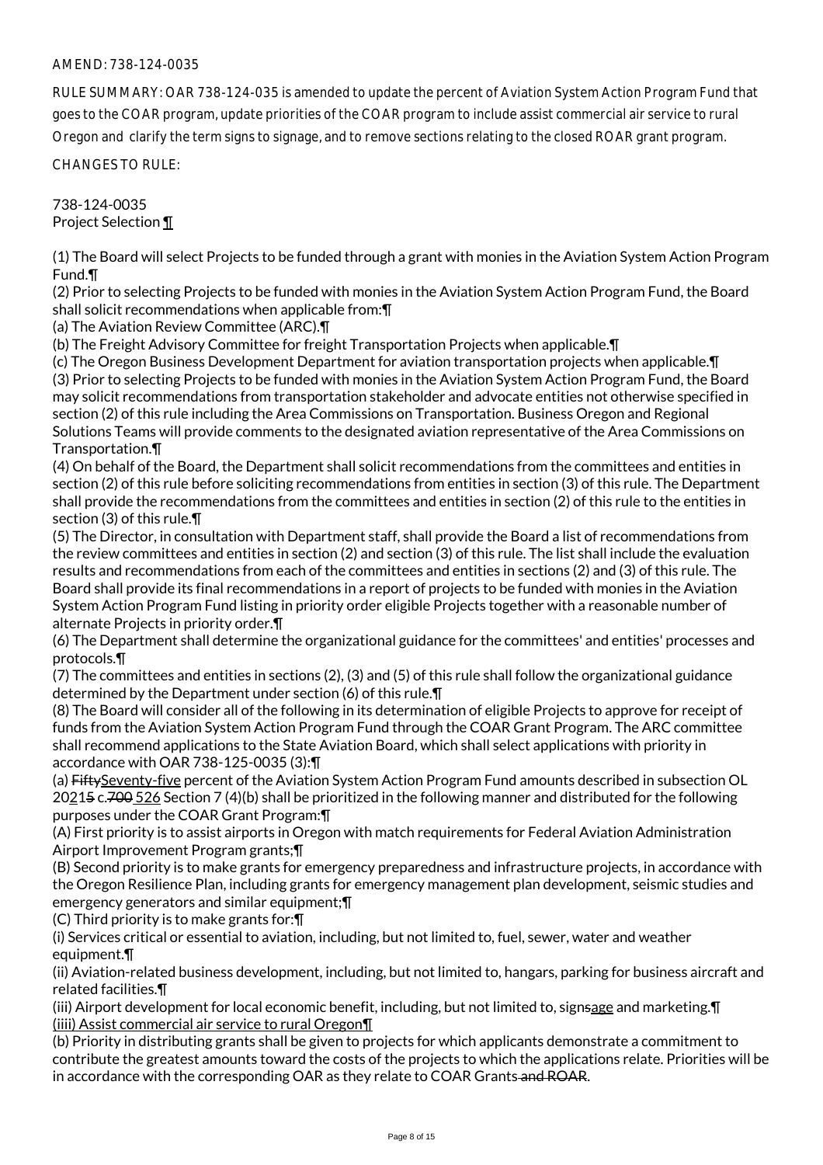RULE SUMMARY: OAR 738-124-035 is amended to update the percent of Aviation System Action Program Fund that goes to the COAR program, update priorities of the COAR program to include assist commercial air service to rural Oregon and clarify the term signs to signage, and to remove sections relating to the closed ROAR grant program.

CHANGES TO RULE:

738-124-0035 Project Selection ¶

(1) The Board will select Projects to be funded through a grant with monies in the Aviation System Action Program Fund.¶

(2) Prior to selecting Projects to be funded with monies in the Aviation System Action Program Fund, the Board shall solicit recommendations when applicable from:¶

(a) The Aviation Review Committee (ARC).¶

(b) The Freight Advisory Committee for freight Transportation Projects when applicable.¶

(c) The Oregon Business Development Department for aviation transportation projects when applicable.¶ (3) Prior to selecting Projects to be funded with monies in the Aviation System Action Program Fund, the Board may solicit recommendations from transportation stakeholder and advocate entities not otherwise specified in section (2) of this rule including the Area Commissions on Transportation. Business Oregon and Regional Solutions Teams will provide comments to the designated aviation representative of the Area Commissions on Transportation.¶

(4) On behalf of the Board, the Department shall solicit recommendations from the committees and entities in section (2) of this rule before soliciting recommendations from entities in section (3) of this rule. The Department shall provide the recommendations from the committees and entities in section (2) of this rule to the entities in section (3) of this rule.¶

(5) The Director, in consultation with Department staff, shall provide the Board a list of recommendations from the review committees and entities in section (2) and section (3) of this rule. The list shall include the evaluation results and recommendations from each of the committees and entities in sections (2) and (3) of this rule. The Board shall provide its final recommendations in a report of projects to be funded with monies in the Aviation System Action Program Fund listing in priority order eligible Projects together with a reasonable number of alternate Projects in priority order.¶

(6) The Department shall determine the organizational guidance for the committees' and entities' processes and protocols.¶

(7) The committees and entities in sections (2), (3) and (5) of this rule shall follow the organizational guidance determined by the Department under section (6) of this rule.¶

(8) The Board will consider all of the following in its determination of eligible Projects to approve for receipt of funds from the Aviation System Action Program Fund through the COAR Grant Program. The ARC committee shall recommend applications to the State Aviation Board, which shall select applications with priority in accordance with OAR 738-125-0035 (3):¶

(a) FiftySeventy-five percent of the Aviation System Action Program Fund amounts described in subsection OL 20215 c.700 526 Section 7 (4)(b) shall be prioritized in the following manner and distributed for the following purposes under the COAR Grant Program:¶

(A) First priority is to assist airports in Oregon with match requirements for Federal Aviation Administration Airport Improvement Program grants;¶

(B) Second priority is to make grants for emergency preparedness and infrastructure projects, in accordance with the Oregon Resilience Plan, including grants for emergency management plan development, seismic studies and emergency generators and similar equipment;¶

(C) Third priority is to make grants for:¶

(i) Services critical or essential to aviation, including, but not limited to, fuel, sewer, water and weather equipment.¶

(ii) Aviation-related business development, including, but not limited to, hangars, parking for business aircraft and related facilities.¶

(iii) Airport development for local economic benefit, including, but not limited to, signsage and marketing.¶ (iiii) Assist commercial air service to rural Oregon¶

(b) Priority in distributing grants shall be given to projects for which applicants demonstrate a commitment to contribute the greatest amounts toward the costs of the projects to which the applications relate. Priorities will be in accordance with the corresponding OAR as they relate to COAR Grants and ROAR.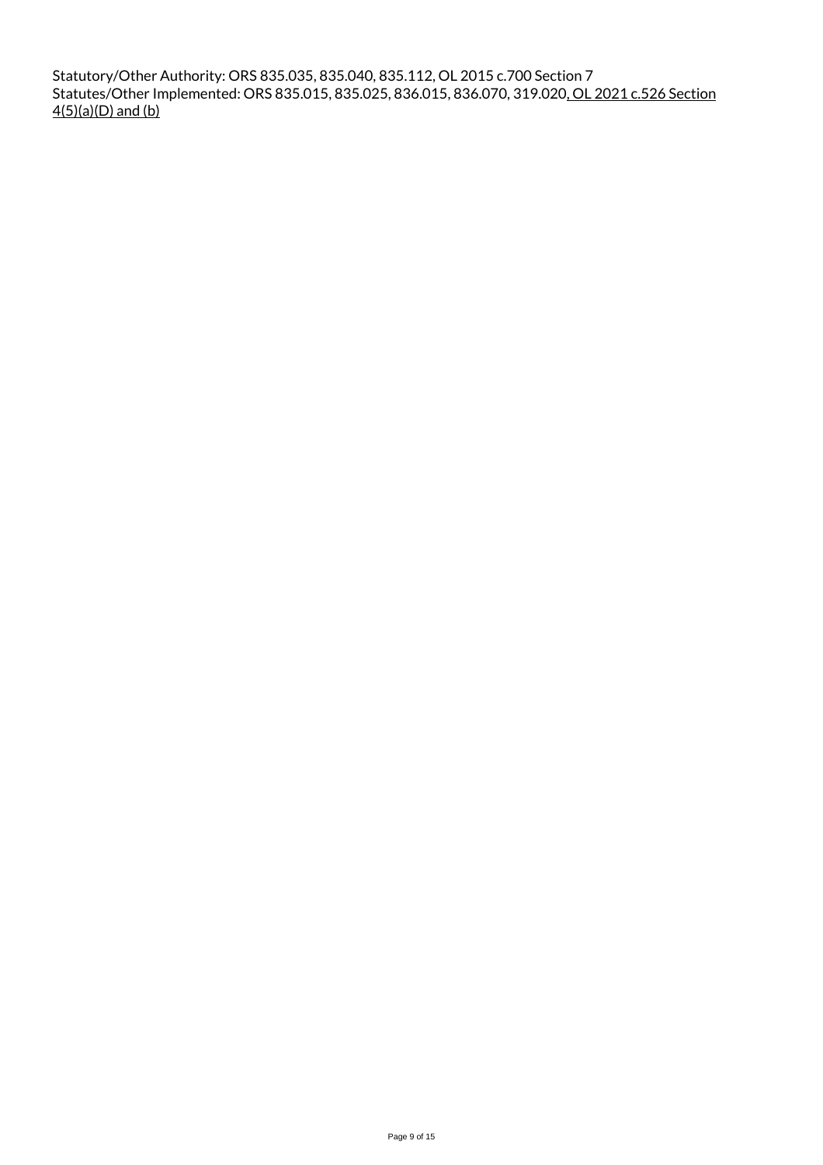Statutory/Other Authority: ORS 835.035, 835.040, 835.112, OL 2015 c.700 Section 7 Statutes/Other Implemented: ORS 835.015, 835.025, 836.015, 836.070, 319.020, OL 2021 c.526 Section 4(5)(a)(D) and (b)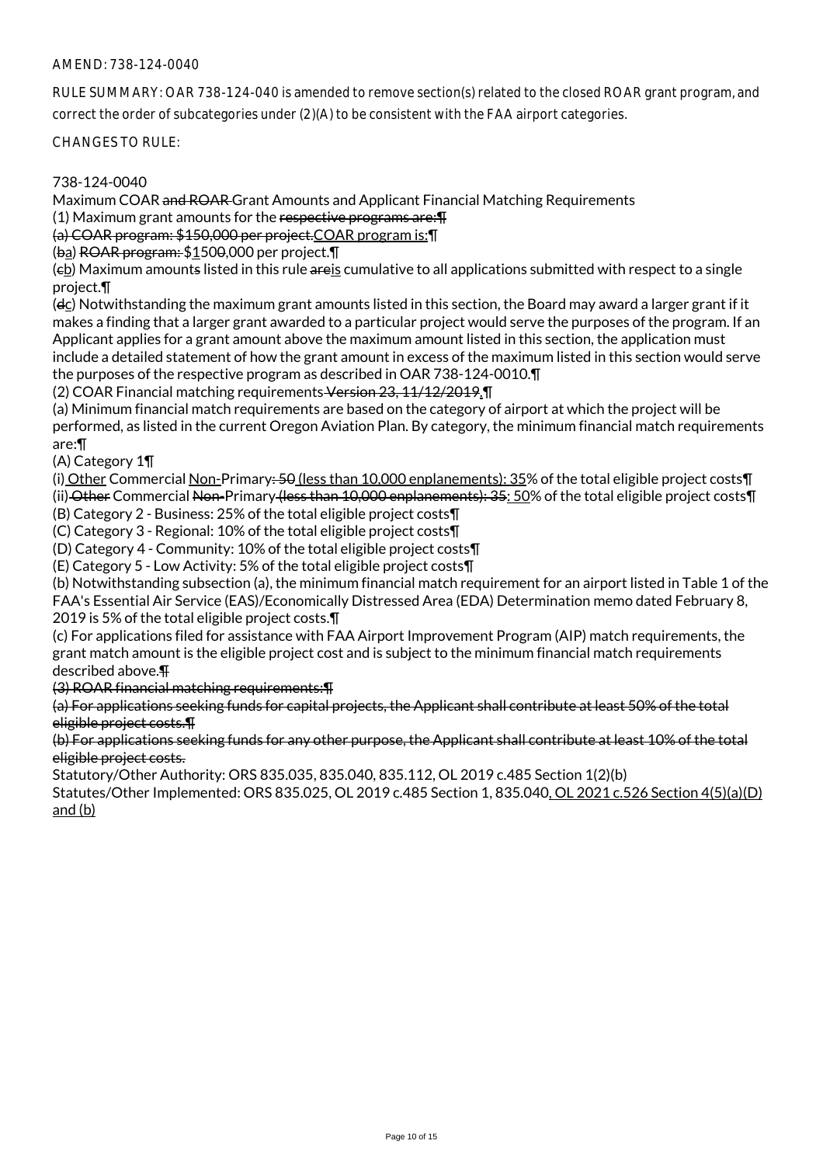RULE SUMMARY: OAR 738-124-040 is amended to remove section(s) related to the closed ROAR grant program, and correct the order of subcategories under (2)(A) to be consistent with the FAA airport categories.

CHANGES TO RULE:

## 738-124-0040

Maximum COAR and ROAR Grant Amounts and Applicant Financial Matching Requirements

(1) Maximum grant amounts for the respective programs are:¶

(a) COAR program: \$150,000 per project.COAR program is:¶

(ba) ROAR program: \$1500,000 per project.¶

(eb) Maximum amounts listed in this rule areis cumulative to all applications submitted with respect to a single project.¶

(dc) Notwithstanding the maximum grant amounts listed in this section, the Board may award a larger grant if it makes a finding that a larger grant awarded to a particular project would serve the purposes of the program. If an Applicant applies for a grant amount above the maximum amount listed in this section, the application must include a detailed statement of how the grant amount in excess of the maximum listed in this section would serve the purposes of the respective program as described in OAR 738-124-0010.¶

(2) COAR Financial matching requirements Version 23, 11/12/2019.¶

(a) Minimum financial match requirements are based on the category of airport at which the project will be performed, as listed in the current Oregon Aviation Plan. By category, the minimum financial match requirements are:¶

(A) Category 1¶

(i) Other Commercial Non-Primary: 50 (less than 10,000 enplanements): 35% of the total eligible project costs¶ (ii) Other Commercial Non-Primary (less than 10,000 enplanements): 35: 50% of the total eligible project costs¶ (B) Category 2 - Business: 25% of the total eligible project costs¶

(C) Category 3 - Regional: 10% of the total eligible project costs¶

(D) Category 4 - Community: 10% of the total eligible project costs¶

(E) Category 5 - Low Activity: 5% of the total eligible project costs¶

(b) Notwithstanding subsection (a), the minimum financial match requirement for an airport listed in Table 1 of the FAA's Essential Air Service (EAS)/Economically Distressed Area (EDA) Determination memo dated February 8, 2019 is 5% of the total eligible project costs.¶

(c) For applications filed for assistance with FAA Airport Improvement Program (AIP) match requirements, the grant match amount is the eligible project cost and is subject to the minimum financial match requirements described above.¶

(3) ROAR financial matching requirements:¶

(a) For applications seeking funds for capital projects, the Applicant shall contribute at least 50% of the total eligible project costs.¶

(b) For applications seeking funds for any other purpose, the Applicant shall contribute at least 10% of the total eligible project costs.

Statutory/Other Authority: ORS 835.035, 835.040, 835.112, OL 2019 c.485 Section 1(2)(b)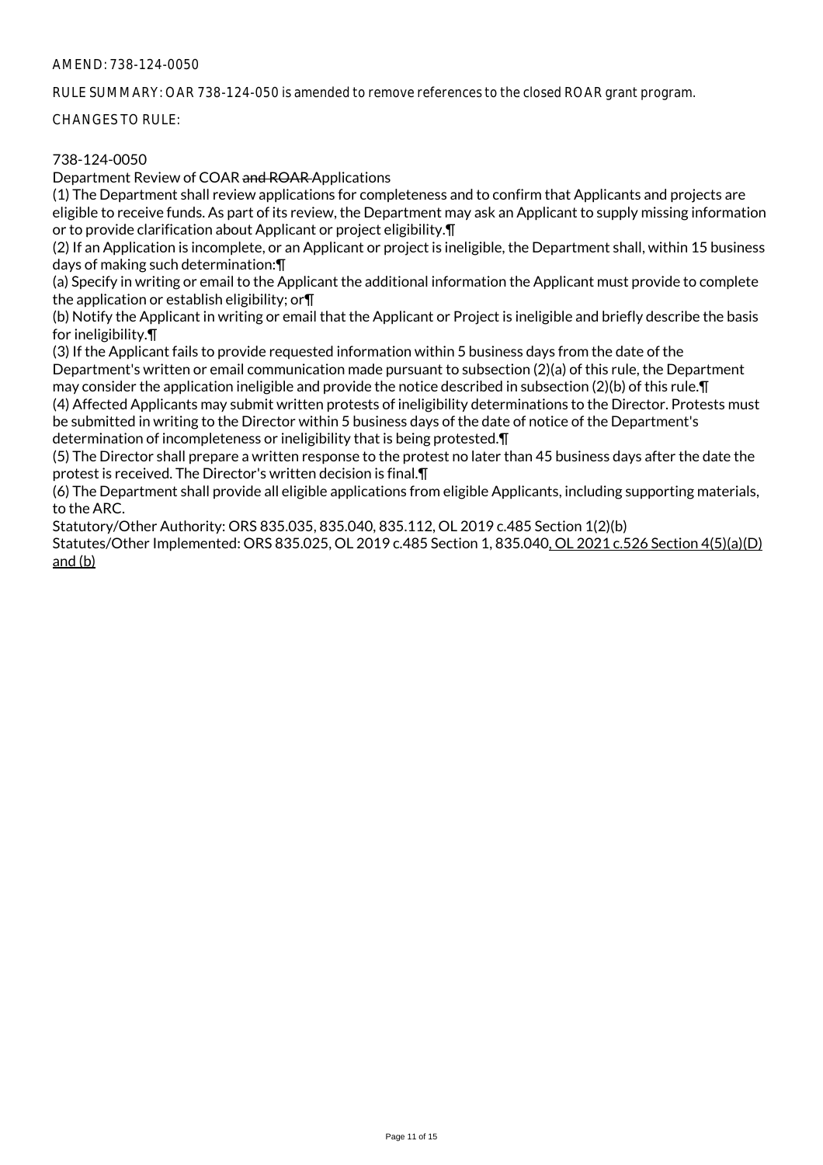RULE SUMMARY: OAR 738-124-050 is amended to remove references to the closed ROAR grant program.

CHANGES TO RULE:

# 738-124-0050

Department Review of COAR and ROAR Applications

(1) The Department shall review applications for completeness and to confirm that Applicants and projects are eligible to receive funds. As part of its review, the Department may ask an Applicant to supply missing information or to provide clarification about Applicant or project eligibility.¶

(2) If an Application is incomplete, or an Applicant or project is ineligible, the Department shall, within 15 business days of making such determination:¶

(a) Specify in writing or email to the Applicant the additional information the Applicant must provide to complete the application or establish eligibility; or¶

(b) Notify the Applicant in writing or email that the Applicant or Project is ineligible and briefly describe the basis for ineligibility.¶

(3) If the Applicant fails to provide requested information within 5 business days from the date of the Department's written or email communication made pursuant to subsection (2)(a) of this rule, the Department may consider the application ineligible and provide the notice described in subsection (2)(b) of this rule. $\P$ 

(4) Affected Applicants may submit written protests of ineligibility determinations to the Director. Protests must be submitted in writing to the Director within 5 business days of the date of notice of the Department's determination of incompleteness or ineligibility that is being protested.¶

(5) The Director shall prepare a written response to the protest no later than 45 business days after the date the protest is received. The Director's written decision is final.¶

(6) The Department shall provide all eligible applications from eligible Applicants, including supporting materials, to the ARC.

Statutory/Other Authority: ORS 835.035, 835.040, 835.112, OL 2019 c.485 Section 1(2)(b)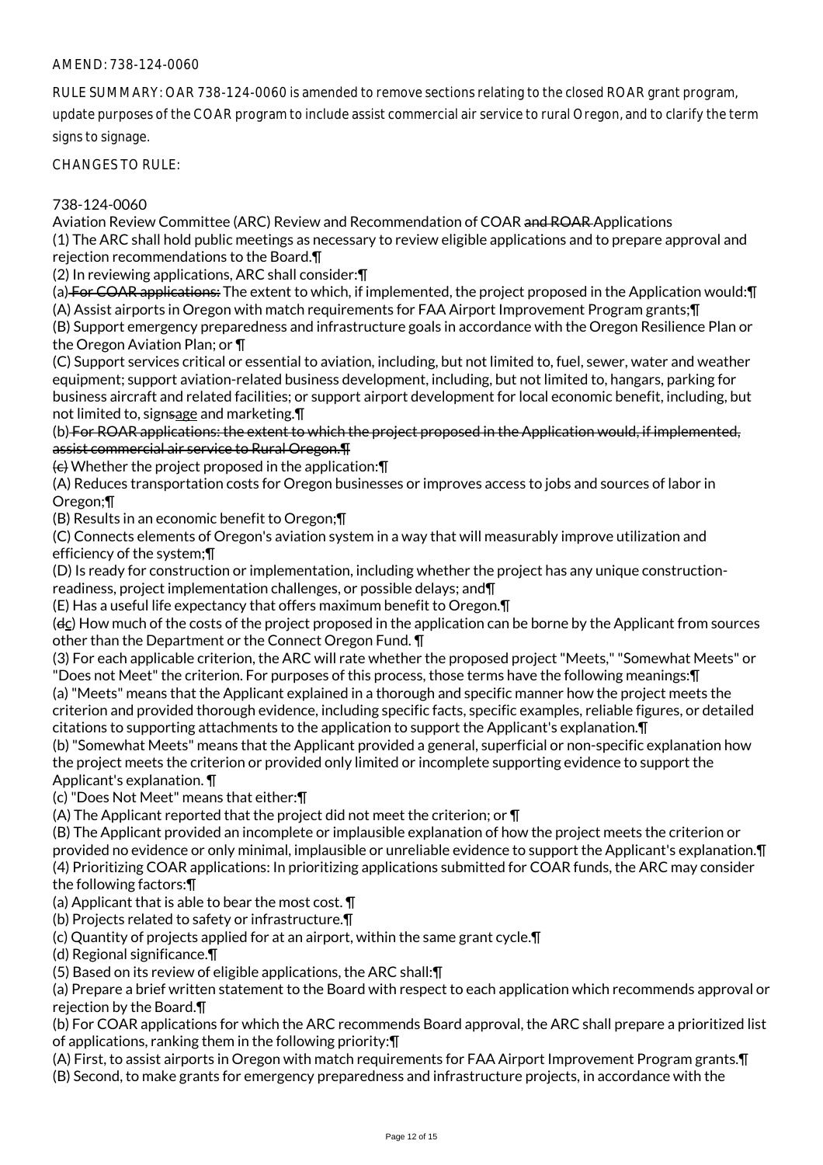RULE SUMMARY: OAR 738-124-0060 is amended to remove sections relating to the closed ROAR grant program, update purposes of the COAR program to include assist commercial air service to rural Oregon, and to clarify the term signs to signage.

CHANGES TO RULE:

## 738-124-0060

Aviation Review Committee (ARC) Review and Recommendation of COAR and ROAR Applications (1) The ARC shall hold public meetings as necessary to review eligible applications and to prepare approval and rejection recommendations to the Board.¶

(2) In reviewing applications, ARC shall consider:¶

(a) For COAR applications: The extent to which, if implemented, the project proposed in the Application would:¶ (A) Assist airports in Oregon with match requirements for FAA Airport Improvement Program grants;¶

(B) Support emergency preparedness and infrastructure goals in accordance with the Oregon Resilience Plan or the Oregon Aviation Plan; or ¶

(C) Support services critical or essential to aviation, including, but not limited to, fuel, sewer, water and weather equipment; support aviation-related business development, including, but not limited to, hangars, parking for business aircraft and related facilities; or support airport development for local economic benefit, including, but not limited to, signsage and marketing.¶

(b) For ROAR applications: the extent to which the project proposed in the Application would, if implemented, assist commercial air service to Rural Oregon.¶

(c) Whether the project proposed in the application:¶

(A) Reduces transportation costs for Oregon businesses or improves access to jobs and sources of labor in Oregon;¶

(B) Results in an economic benefit to Oregon;¶

(C) Connects elements of Oregon's aviation system in a way that will measurably improve utilization and efficiency of the system;¶

(D) Is ready for construction or implementation, including whether the project has any unique constructionreadiness, project implementation challenges, or possible delays; and¶

(E) Has a useful life expectancy that offers maximum benefit to Oregon.¶

 $(d<sub>c</sub>)$  How much of the costs of the project proposed in the application can be borne by the Applicant from sources other than the Department or the Connect Oregon Fund. ¶

(3) For each applicable criterion, the ARC will rate whether the proposed project "Meets," "Somewhat Meets" or "Does not Meet" the criterion. For purposes of this process, those terms have the following meanings:¶

(a) "Meets" means that the Applicant explained in a thorough and specific manner how the project meets the criterion and provided thorough evidence, including specific facts, specific examples, reliable figures, or detailed citations to supporting attachments to the application to support the Applicant's explanation.¶

(b) "Somewhat Meets" means that the Applicant provided a general, superficial or non-specific explanation how the project meets the criterion or provided only limited or incomplete supporting evidence to support the Applicant's explanation. ¶

(c) "Does Not Meet" means that either:¶

(A) The Applicant reported that the project did not meet the criterion; or ¶

(B) The Applicant provided an incomplete or implausible explanation of how the project meets the criterion or provided no evidence or only minimal, implausible or unreliable evidence to support the Applicant's explanation.¶

(4) Prioritizing COAR applications: In prioritizing applications submitted for COAR funds, the ARC may consider the following factors:¶

(a) Applicant that is able to bear the most cost. ¶

(b) Projects related to safety or infrastructure.¶

(c) Quantity of projects applied for at an airport, within the same grant cycle.¶

(d) Regional significance.¶

(5) Based on its review of eligible applications, the ARC shall:¶

(a) Prepare a brief written statement to the Board with respect to each application which recommends approval or rejection by the Board.¶

(b) For COAR applications for which the ARC recommends Board approval, the ARC shall prepare a prioritized list of applications, ranking them in the following priority:¶

(A) First, to assist airports in Oregon with match requirements for FAA Airport Improvement Program grants.¶ (B) Second, to make grants for emergency preparedness and infrastructure projects, in accordance with the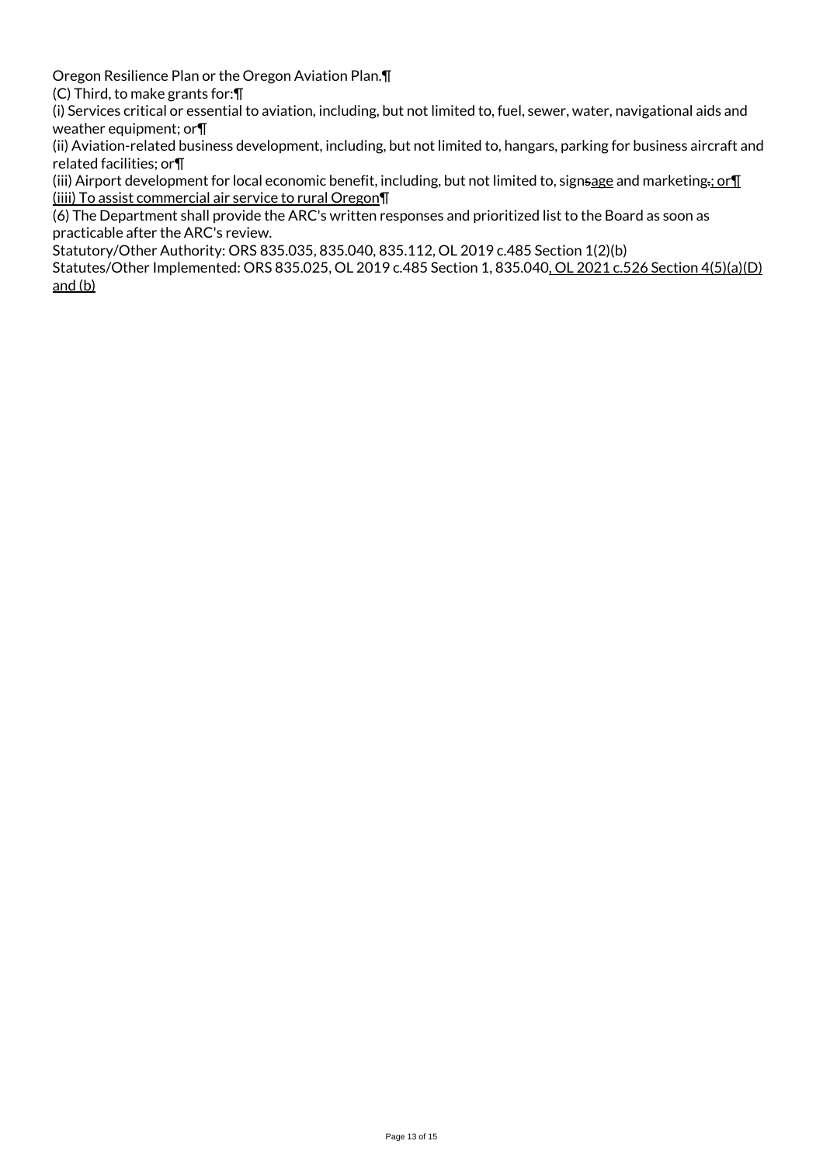Oregon Resilience Plan or the Oregon Aviation Plan.¶

(C) Third, to make grants for:¶

(i) Services critical or essential to aviation, including, but not limited to, fuel, sewer, water, navigational aids and weather equipment; or¶

(ii) Aviation-related business development, including, but not limited to, hangars, parking for business aircraft and related facilities; or¶

(iii) Airport development for local economic benefit, including, but not limited to, signsage and marketing.; or  $\P$ (iiii) To assist commercial air service to rural Oregon¶

(6) The Department shall provide the ARC's written responses and prioritized list to the Board as soon as practicable after the ARC's review.

Statutory/Other Authority: ORS 835.035, 835.040, 835.112, OL 2019 c.485 Section 1(2)(b)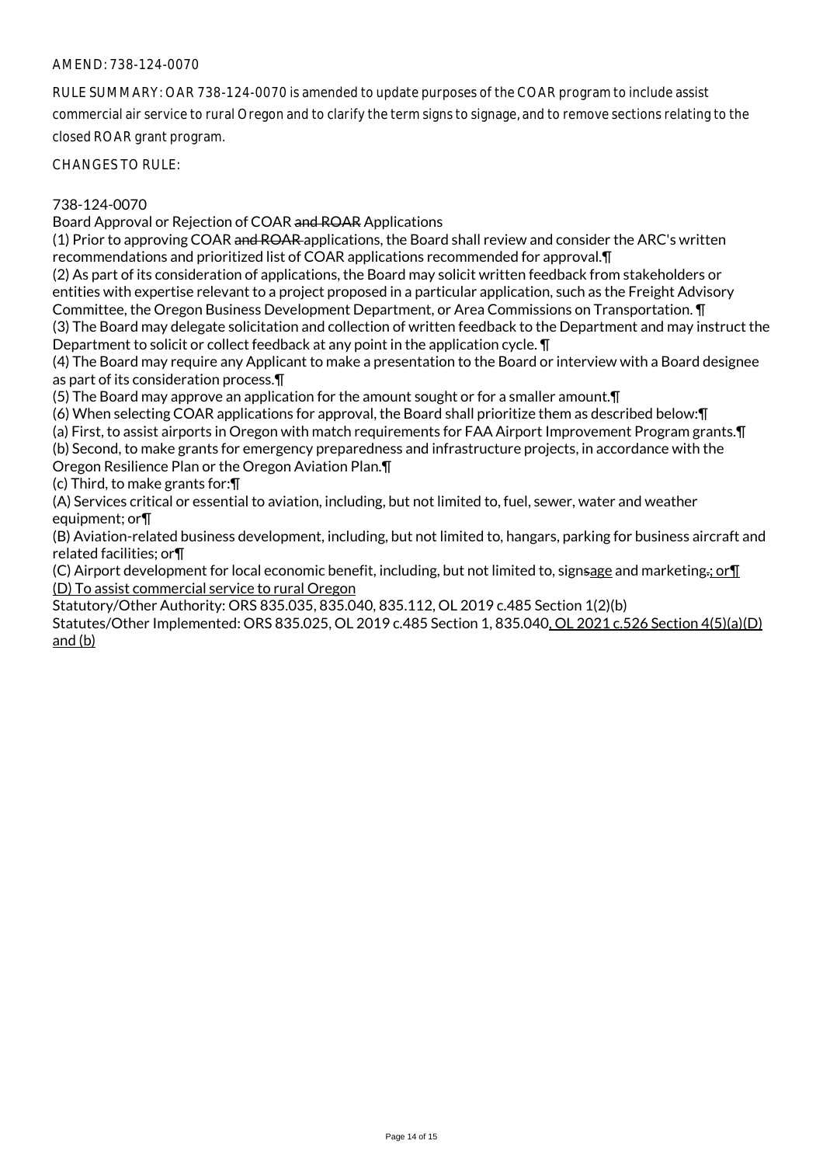RULE SUMMARY: OAR 738-124-0070 is amended to update purposes of the COAR program to include assist commercial air service to rural Oregon and to clarify the term signs to signage, and to remove sections relating to the closed ROAR grant program.

CHANGES TO RULE:

#### 738-124-0070

Board Approval or Rejection of COAR and ROAR Applications

(1) Prior to approving COAR and ROAR applications, the Board shall review and consider the ARC's written recommendations and prioritized list of COAR applications recommended for approval.¶

(2) As part of its consideration of applications, the Board may solicit written feedback from stakeholders or entities with expertise relevant to a project proposed in a particular application, such as the Freight Advisory Committee, the Oregon Business Development Department, or Area Commissions on Transportation. ¶ (3) The Board may delegate solicitation and collection of written feedback to the Department and may instruct the Department to solicit or collect feedback at any point in the application cycle. ¶

(4) The Board may require any Applicant to make a presentation to the Board or interview with a Board designee as part of its consideration process.¶

(5) The Board may approve an application for the amount sought or for a smaller amount.¶

(6) When selecting COAR applications for approval, the Board shall prioritize them as described below:¶

(a) First, to assist airports in Oregon with match requirements for FAA Airport Improvement Program grants.¶

(b) Second, to make grants for emergency preparedness and infrastructure projects, in accordance with the

Oregon Resilience Plan or the Oregon Aviation Plan.¶

(c) Third, to make grants for:¶

(A) Services critical or essential to aviation, including, but not limited to, fuel, sewer, water and weather equipment; or¶

(B) Aviation-related business development, including, but not limited to, hangars, parking for business aircraft and related facilities; or¶

(C) Airport development for local economic benefit, including, but not limited to, signsage and marketing.; or¶ (D) To assist commercial service to rural Oregon

Statutory/Other Authority: ORS 835.035, 835.040, 835.112, OL 2019 c.485 Section 1(2)(b)